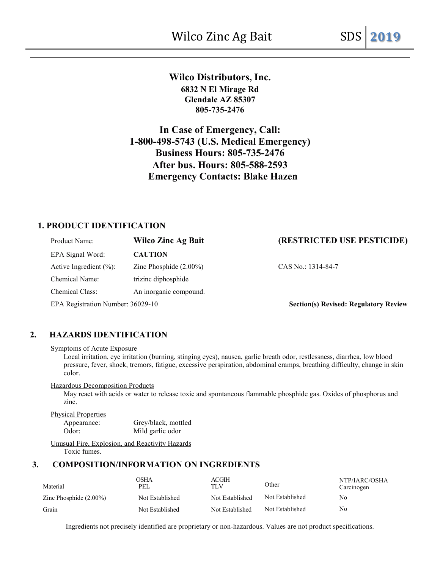# **Wilco Distributors, Inc. 6832 N El Mirage Rd Glendale AZ 85307 805-735-2476**

**In Case of Emergency, Call: 1-800-498-5743 (U.S. Medical Emergency) Business Hours: 805-735-2476 After bus. Hours: 805-588-2593 Emergency Contacts: Blake Hazen** 

# **1. PRODUCT IDENTIFICATION**

| Product Name:                     | <b>Wilco Zinc Ag Bait</b> | (RESTRICTED USE PESTICIDE)                   |
|-----------------------------------|---------------------------|----------------------------------------------|
| EPA Signal Word:                  | <b>CAUTION</b>            |                                              |
| Active Ingredient $(\%):$         | Zinc Phosphide $(2.00\%)$ | CAS No.: 1314-84-7                           |
| Chemical Name:                    | trizinc diphosphide       |                                              |
| Chemical Class:                   | An inorganic compound.    |                                              |
| EPA Registration Number: 36029-10 |                           | <b>Section(s) Revised: Regulatory Review</b> |

# **2. HAZARDS IDENTIFICATION**

#### Symptoms of Acute Exposure

Local irritation, eye irritation (burning, stinging eyes), nausea, garlic breath odor, restlessness, diarrhea, low blood pressure, fever, shock, tremors, fatigue, excessive perspiration, abdominal cramps, breathing difficulty, change in skin color.

#### Hazardous Decomposition Products

May react with acids or water to release toxic and spontaneous flammable phosphide gas. Oxides of phosphorus and zinc.

Physical Properties

Appearance: Grey/black, mottled Odor: Mild garlic odor

Unusual Fire, Explosion, and Reactivity Hazards Toxic fumes.

# **3. COMPOSITION/INFORMATION ON INGREDIENTS**

| Material                  | OSHA<br>PEL     | ACGIH<br>TLV    | Other           | NTP/IARC/OSHA<br>Carcinogen |
|---------------------------|-----------------|-----------------|-----------------|-----------------------------|
| Zinc Phosphide $(2.00\%)$ | Not Established | Not Established | Not Established | No                          |
| Grain                     | Not Established | Not Established | Not Established | No                          |

Ingredients not precisely identified are proprietary or non-hazardous. Values are not product specifications.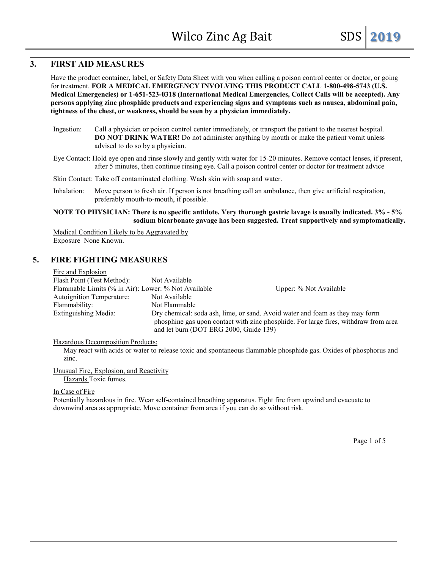# **3. FIRST AID MEASURES**

Have the product container, label, or Safety Data Sheet with you when calling a poison control center or doctor, or going for treatment. **FOR A MEDICAL EMERGENCY INVOLVING THIS PRODUCT CALL 1-800-498-5743 (U.S. Medical Emergencies) or 1-651-523-0318 (International Medical Emergencies, Collect Calls will be accepted). Any persons applying zinc phosphide products and experiencing signs and symptoms such as nausea, abdominal pain, tightness of the chest, or weakness, should be seen by a physician immediately.**

- Ingestion: Call a physician or poison control center immediately, or transport the patient to the nearest hospital. **DO NOT DRINK WATER!** Do not administer anything by mouth or make the patient vomit unless advised to do so by a physician.
- Eye Contact: Hold eye open and rinse slowly and gently with water for 15-20 minutes. Remove contact lenses, if present, after 5 minutes, then continue rinsing eye. Call a poison control center or doctor for treatment advice

#### Skin Contact: Take off contaminated clothing. Wash skin with soap and water.

Inhalation: Move person to fresh air. If person is not breathing call an ambulance, then give artificial respiration, preferably mouth-to-mouth, if possible.

#### **NOTE TO PHYSICIAN: There is no specific antidote. Very thorough gastric lavage is usually indicated. 3% - 5% sodium bicarbonate gavage has been suggested. Treat supportively and symptomatically.**

Medical Condition Likely to be Aggravated by Exposure None Known.

### **5. FIRE FIGHTING MEASURES**

Fire and Explosion Flash Point (Test Method): Not Available Flammable Limits (% in Air): Lower: % Not Available Upper: % Not Available Autoignition Temperature: Not Available Flammability: Not Flammable Extinguishing Media: Dry chemical: soda ash, lime, or sand. Avoid water and foam as they may form phosphine gas upon contact with zinc phosphide. For large fires, withdraw from area and let burn (DOT ERG 2000, Guide 139)

Hazardous Decomposition Products:

May react with acids or water to release toxic and spontaneous flammable phosphide gas. Oxides of phosphorus and zinc.

Unusual Fire, Explosion, and Reactivity Hazards Toxic fumes.

#### In Case of Fire

Potentially hazardous in fire. Wear self-contained breathing apparatus. Fight fire from upwind and evacuate to downwind area as appropriate. Move container from area if you can do so without risk.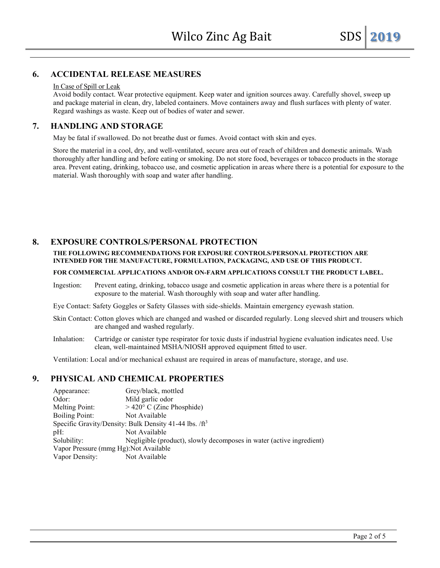### **6. ACCIDENTAL RELEASE MEASURES**

#### In Case of Spill or Leak

Avoid bodily contact. Wear protective equipment. Keep water and ignition sources away. Carefully shovel, sweep up and package material in clean, dry, labeled containers. Move containers away and flush surfaces with plenty of water. Regard washings as waste. Keep out of bodies of water and sewer.

### **7. HANDLING AND STORAGE**

May be fatal if swallowed. Do not breathe dust or fumes. Avoid contact with skin and eyes.

Store the material in a cool, dry, and well-ventilated, secure area out of reach of children and domestic animals. Wash thoroughly after handling and before eating or smoking. Do not store food, beverages or tobacco products in the storage area. Prevent eating, drinking, tobacco use, and cosmetic application in areas where there is a potential for exposure to the material. Wash thoroughly with soap and water after handling.

### **8. EXPOSURE CONTROLS/PERSONAL PROTECTION**

#### **THE FOLLOWING RECOMMENDATIONS FOR EXPOSURE CONTROLS/PERSONAL PROTECTION ARE INTENDED FOR THE MANUFACTURE, FORMULATION, PACKAGING, AND USE OF THIS PRODUCT.**

#### **FOR COMMERCIAL APPLICATIONS AND/OR ON-FARM APPLICATIONS CONSULT THE PRODUCT LABEL.**

Ingestion: Prevent eating, drinking, tobacco usage and cosmetic application in areas where there is a potential for exposure to the material. Wash thoroughly with soap and water after handling.

Eye Contact: Safety Goggles or Safety Glasses with side-shields. Maintain emergency eyewash station.

- Skin Contact: Cotton gloves which are changed and washed or discarded regularly. Long sleeved shirt and trousers which are changed and washed regularly.
- Inhalation: Cartridge or canister type respirator for toxic dusts if industrial hygiene evaluation indicates need. Use clean, well-maintained MSHA/NIOSH approved equipment fitted to user.

Ventilation: Local and/or mechanical exhaust are required in areas of manufacture, storage, and use.

# **9. PHYSICAL AND CHEMICAL PROPERTIES**

Appearance: Grey/black, mottled Odor: Mild garlic odor Melting Point:  $> 420^{\circ}$  C (Zinc Phosphide) Boiling Point: Not Available Specific Gravity/Density: Bulk Density 41-44 lbs.  $/ft^3$ pH: Not Available Solubility: Negligible (product), slowly decomposes in water (active ingredient) Vapor Pressure (mmg Hg):Not Available Vapor Density: Not Available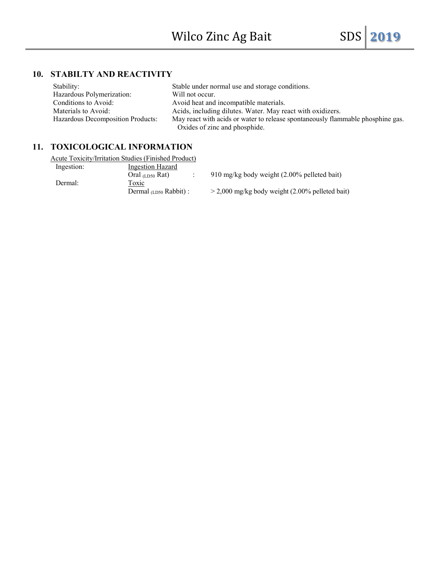# **10. STABILTY AND REACTIVITY**

| Stability:                        | Stable under normal use and storage conditions.                                 |
|-----------------------------------|---------------------------------------------------------------------------------|
| Hazardous Polymerization:         | Will not occur.                                                                 |
| Conditions to Avoid:              | Avoid heat and incompatible materials.                                          |
| Materials to Avoid:               | Acids, including dilutes. Water. May react with oxidizers.                      |
| Hazardous Decomposition Products: | May react with acids or water to release spontaneously flammable phosphine gas. |
|                                   | Oxides of zinc and phosphide.                                                   |

# **11. TOXICOLOGICAL INFORMATION**

|            | Acute Toxicity/Irritation Studies (Finished Product) |                                                   |
|------------|------------------------------------------------------|---------------------------------------------------|
| Ingestion: | <b>Ingestion Hazard</b>                              |                                                   |
|            | Oral $(LDS0$ Rat)                                    | 910 mg/kg body weight (2.00% pelleted bait)       |
| Dermal:    | Toxic                                                |                                                   |
|            | Dermal $(LDS0$ Rabbit) :                             | $>$ 2,000 mg/kg body weight (2.00% pelleted bait) |
|            |                                                      |                                                   |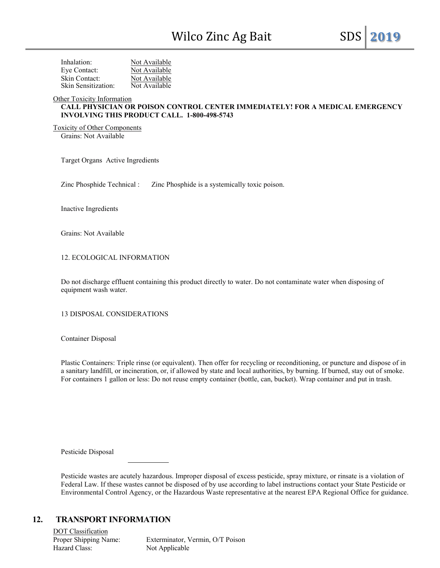| Inhalation:         | Not Available |
|---------------------|---------------|
| Eye Contact:        | Not Available |
| Skin Contact:       | Not Available |
| Skin Sensitization: | Not Available |

Other Toxicity Information

### **CALL PHYSICIAN OR POISON CONTROL CENTER IMMEDIATELY! FOR A MEDICAL EMERGENCY INVOLVING THIS PRODUCT CALL. 1-800-498-5743**

Toxicity of Other Components Grains: Not Available

Target Organs Active Ingredients

Zinc Phosphide Technical : Zinc Phosphide is a systemically toxic poison.

Inactive Ingredients

Grains: Not Available

12. ECOLOGICAL INFORMATION

Do not discharge effluent containing this product directly to water. Do not contaminate water when disposing of equipment wash water.

13 DISPOSAL CONSIDERATIONS

Container Disposal

Plastic Containers: Triple rinse (or equivalent). Then offer for recycling or reconditioning, or puncture and dispose of in a sanitary landfill, or incineration, or, if allowed by state and local authorities, by burning. If burned, stay out of smoke. For containers 1 gallon or less: Do not reuse empty container (bottle, can, bucket). Wrap container and put in trash.

Pesticide Disposal

Pesticide wastes are acutely hazardous. Improper disposal of excess pesticide, spray mixture, or rinsate is a violation of Federal Law. If these wastes cannot be disposed of by use according to label instructions contact your State Pesticide or Environmental Control Agency, or the Hazardous Waste representative at the nearest EPA Regional Office for guidance.

### **12. TRANSPORT INFORMATION**

DOT Classification Hazard Class: Not Applicable

Proper Shipping Name: Exterminator, Vermin, O/T Poison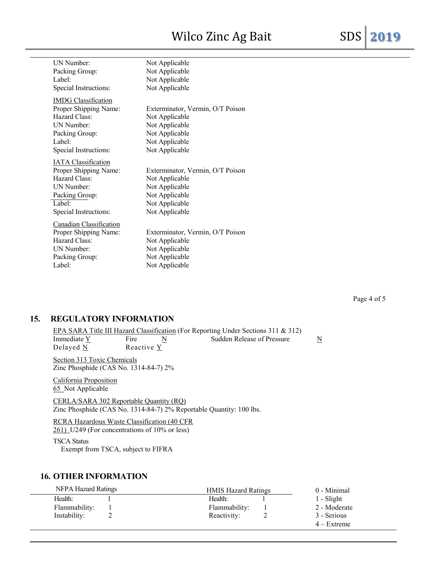# Wilco Zinc Ag Bait SDS **2019**

| UN Number:                 | Not Applicable                   |
|----------------------------|----------------------------------|
| Packing Group:             | Not Applicable                   |
| Label:                     | Not Applicable                   |
| Special Instructions:      | Not Applicable                   |
| <b>IMDG</b> Classification |                                  |
| Proper Shipping Name:      | Exterminator, Vermin, O/T Poison |
| Hazard Class:              | Not Applicable                   |
| UN Number:                 | Not Applicable                   |
| Packing Group:             | Not Applicable                   |
| Label:                     | Not Applicable                   |
| Special Instructions:      | Not Applicable                   |
| <b>IATA</b> Classification |                                  |
| Proper Shipping Name:      | Exterminator, Vermin, O/T Poison |
| Hazard Class:              | Not Applicable                   |
| UN Number:                 | Not Applicable                   |
| Packing Group:             | Not Applicable                   |
| Label:                     | Not Applicable                   |
| Special Instructions:      | Not Applicable                   |
| Canadian Classification    |                                  |
| Proper Shipping Name:      | Exterminator, Vermin, O/T Poison |
| Hazard Class:              | Not Applicable                   |
| UN Number:                 | Not Applicable                   |
| Packing Group:             | Not Applicable                   |
| Label:                     | Not Applicable                   |

# **15. REGULATORY INFORMATION**

#### EPA SARA Title III Hazard Classification (For Reporting Under Sections 311 & 312)<br>Immediate  $\underline{Y}$  Fire  $\underline{N}$  Sudden Release of Pressure Immediate  $\frac{Y}{N}$  Fire  $\frac{N}{N}$  Sudden Release of Pressure  $\frac{N}{N}$ Reactive  $Y$

Section 313 Toxic Chemicals Zinc Phosphide (CAS No. 1314-84-7) 2%

California Proposition 65 Not Applicable

CERLA/SARA 302 Reportable Quantity (RQ) Zinc Phosphide (CAS No. 1314-84-7) 2% Reportable Quantity: 100 lbs.

RCRA Hazardous Waste Classification (40 CFR 261) U249 (For concentrations of 10% or less)

TSCA Status

Exempt from TSCA, subject to FIFRA

### **16. OTHER INFORMATION**

| NFPA Hazard Ratings | <b>HMIS Hazard Ratings</b> | 0 - Minimal   |
|---------------------|----------------------------|---------------|
| Health:             | Health:                    | $1 - S$ light |
| Flammability:       | Flammability:              | 2 - Moderate  |
| Instability:        | Reactivity:                | 3 - Serious   |
|                     |                            | $4 -$ Extreme |

Page 4 of 5